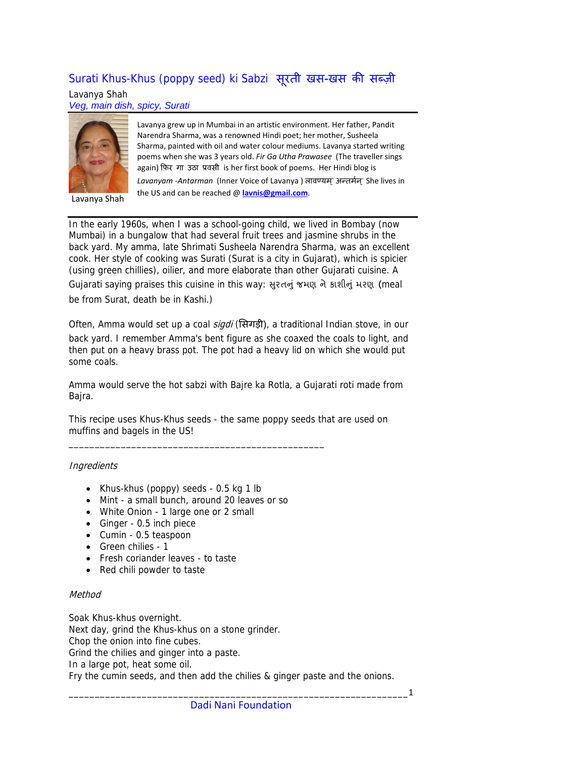## Surati Khus-Khus (poppy seed) ki Sabzi सूरती खस-खस की सब्ज़ी

Lavanya Shah *Veg, main dish, spicy, Surati* 



Lavanya Shah

Lavanya grew up in Mumbai in an artistic environment. Her father, Pandit Narendra Sharma, was a renowned Hindi poet; her mother, Susheela Sharma, painted with oil and water colour mediums. Lavanya started writing poems when she was 3 years old. *Fir Ga Utha Prawasee* (The traveller sings again) िफ़र गा उठा प्रवसी is her first book of poems. Her Hindi blog is *Lavanyam -Antarman* (Inner Voice of Lavanya) लावण्यम्` अन्तर्मन्` She lives in the US and can be reached @ **[lavnis@gmail.com](mailto:lavnis@gmail.com)**.

In the early 1960s, when I was a school-going child, we lived in Bombay (now Mumbai) in a bungalow that had several fruit trees and jasmine shrubs in the back yard. My amma, late Shrimati Susheela Narendra Sharma, was an excellent cook. Her style of cooking was Surati (Surat is a city in Gujarat), which is spicier (using green chillies), oilier, and more elaborate than other Gujarati cuisine. A Gujarati saying praises this cuisine in this way: સુરતનું જમણ ને કાશીનું મરણ (meal

be from Surat, death be in Kashi.)

Often, Amma would set up a coal *sigdi* (सिगड़ी), a traditional Indian stove, in our back yard. I remember Amma's bent figure as she coaxed the coals to light, and then put on a heavy brass pot. The pot had a heavy lid on which she would put some coals.

Amma would serve the hot sabzi with Bajre ka Rotla, a Gujarati roti made from Bajra.

This recipe uses Khus-Khus seeds - the same poppy seeds that are used on muffins and bagels in the US!

## **Ingredients**

- Khus-khus (poppy) seeds 0.5 kg 1 lb
- Mint a small bunch, around 20 leaves or so

\_\_\_\_\_\_\_\_\_\_\_\_\_\_\_\_\_\_\_\_\_\_\_\_\_\_\_\_\_\_\_\_\_\_\_\_\_\_\_\_\_\_\_\_\_\_\_\_\_

- White Onion 1 large one or 2 small
- Ginger 0.5 inch piece
- Cumin 0.5 teaspoon
- Green chilies 1
- Fresh coriander leaves to taste
- Red chili powder to taste

## Method

Soak Khus-khus overnight. Next day, grind the Khus-khus on a stone grinder. Chop the onion into fine cubes. Grind the chilies and ginger into a paste. In a large pot, heat some oil. Fry the cumin seeds, and then add the chilies & ginger paste and the onions.